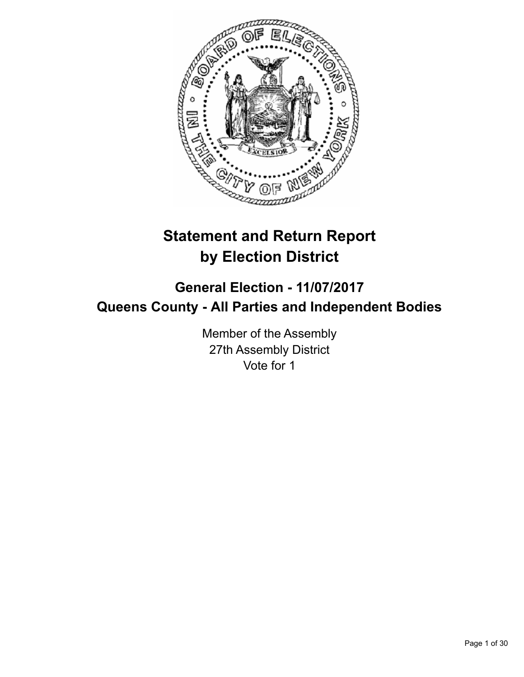

# **Statement and Return Report by Election District**

# **General Election - 11/07/2017 Queens County - All Parties and Independent Bodies**

Member of the Assembly 27th Assembly District Vote for 1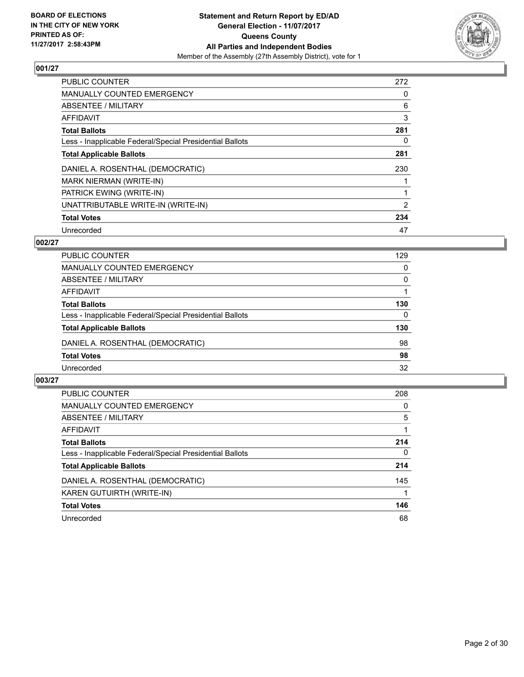

| <b>PUBLIC COUNTER</b>                                    | 272 |
|----------------------------------------------------------|-----|
| <b>MANUALLY COUNTED EMERGENCY</b>                        | 0   |
| ABSENTEE / MILITARY                                      | 6   |
| AFFIDAVIT                                                | 3   |
| <b>Total Ballots</b>                                     | 281 |
| Less - Inapplicable Federal/Special Presidential Ballots | 0   |
| <b>Total Applicable Ballots</b>                          | 281 |
| DANIEL A. ROSENTHAL (DEMOCRATIC)                         | 230 |
| <b>MARK NIERMAN (WRITE-IN)</b>                           |     |
| PATRICK EWING (WRITE-IN)                                 |     |
| UNATTRIBUTABLE WRITE-IN (WRITE-IN)                       | 2   |
| <b>Total Votes</b>                                       | 234 |
| Unrecorded                                               | 47  |

## **002/27**

| <b>PUBLIC COUNTER</b>                                    | 129 |
|----------------------------------------------------------|-----|
| <b>MANUALLY COUNTED EMERGENCY</b>                        | 0   |
| ABSENTEE / MILITARY                                      | 0   |
| AFFIDAVIT                                                |     |
| <b>Total Ballots</b>                                     | 130 |
| Less - Inapplicable Federal/Special Presidential Ballots | 0   |
| <b>Total Applicable Ballots</b>                          | 130 |
| DANIEL A. ROSENTHAL (DEMOCRATIC)                         | 98  |
| <b>Total Votes</b>                                       | 98  |
| Unrecorded                                               | 32  |

| <b>PUBLIC COUNTER</b>                                    | 208      |
|----------------------------------------------------------|----------|
| <b>MANUALLY COUNTED EMERGENCY</b>                        | 0        |
| ABSENTEE / MILITARY                                      | 5        |
| AFFIDAVIT                                                |          |
| <b>Total Ballots</b>                                     | 214      |
| Less - Inapplicable Federal/Special Presidential Ballots | $\Omega$ |
| <b>Total Applicable Ballots</b>                          | 214      |
| DANIEL A. ROSENTHAL (DEMOCRATIC)                         | 145      |
| KAREN GUTUIRTH (WRITE-IN)                                |          |
| <b>Total Votes</b>                                       | 146      |
| Unrecorded                                               | 68       |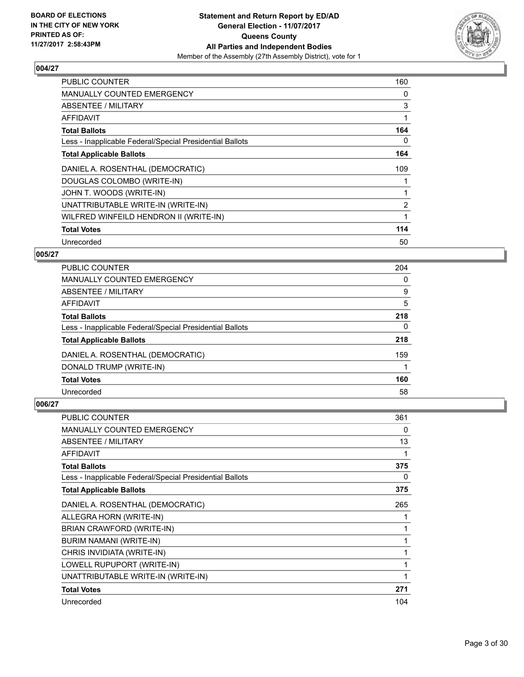

| <b>PUBLIC COUNTER</b>                                    | 160 |
|----------------------------------------------------------|-----|
| MANUALLY COUNTED EMERGENCY                               | 0   |
| <b>ABSENTEE / MILITARY</b>                               | 3   |
| AFFIDAVIT                                                |     |
| <b>Total Ballots</b>                                     | 164 |
| Less - Inapplicable Federal/Special Presidential Ballots | 0   |
| <b>Total Applicable Ballots</b>                          | 164 |
| DANIEL A. ROSENTHAL (DEMOCRATIC)                         | 109 |
| DOUGLAS COLOMBO (WRITE-IN)                               |     |
| JOHN T. WOODS (WRITE-IN)                                 |     |
| UNATTRIBUTABLE WRITE-IN (WRITE-IN)                       | 2   |
| WILFRED WINFEILD HENDRON II (WRITE-IN)                   |     |
| <b>Total Votes</b>                                       | 114 |
| Unrecorded                                               | 50  |

## **005/27**

| <b>PUBLIC COUNTER</b>                                    | 204 |
|----------------------------------------------------------|-----|
| MANUALLY COUNTED EMERGENCY                               | 0   |
| ABSENTEE / MILITARY                                      | 9   |
| AFFIDAVIT                                                | 5   |
| <b>Total Ballots</b>                                     | 218 |
| Less - Inapplicable Federal/Special Presidential Ballots | 0   |
| <b>Total Applicable Ballots</b>                          | 218 |
| DANIEL A. ROSENTHAL (DEMOCRATIC)                         | 159 |
| DONALD TRUMP (WRITE-IN)                                  |     |
| <b>Total Votes</b>                                       | 160 |
| Unrecorded                                               | 58  |

| <b>PUBLIC COUNTER</b>                                    | 361 |
|----------------------------------------------------------|-----|
| <b>MANUALLY COUNTED EMERGENCY</b>                        | 0   |
| ABSENTEE / MILITARY                                      | 13  |
| <b>AFFIDAVIT</b>                                         | 1   |
| <b>Total Ballots</b>                                     | 375 |
| Less - Inapplicable Federal/Special Presidential Ballots | 0   |
| <b>Total Applicable Ballots</b>                          | 375 |
| DANIEL A. ROSENTHAL (DEMOCRATIC)                         | 265 |
| ALLEGRA HORN (WRITE-IN)                                  | 1   |
| BRIAN CRAWFORD (WRITE-IN)                                | 1   |
| <b>BURIM NAMANI (WRITE-IN)</b>                           | 1   |
| CHRIS INVIDIATA (WRITE-IN)                               | 1   |
| LOWELL RUPUPORT (WRITE-IN)                               | 1   |
| UNATTRIBUTABLE WRITE-IN (WRITE-IN)                       | 1   |
| <b>Total Votes</b>                                       | 271 |
| Unrecorded                                               | 104 |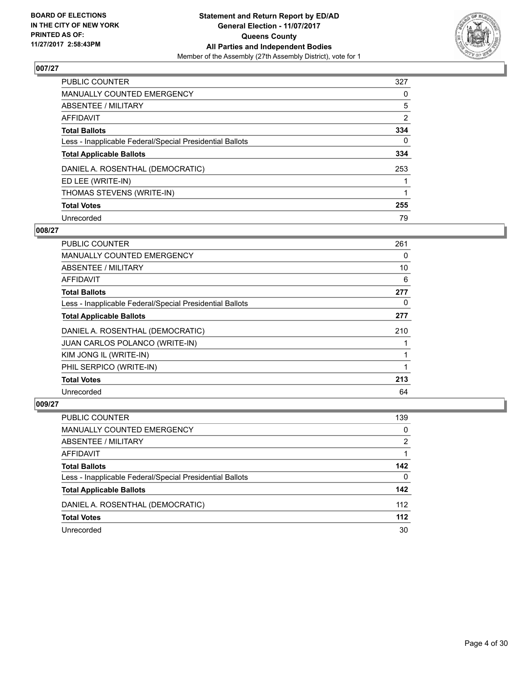

| <b>PUBLIC COUNTER</b>                                    | 327            |
|----------------------------------------------------------|----------------|
| <b>MANUALLY COUNTED EMERGENCY</b>                        | 0              |
| ABSENTEE / MILITARY                                      | 5              |
| AFFIDAVIT                                                | $\overline{2}$ |
| <b>Total Ballots</b>                                     | 334            |
| Less - Inapplicable Federal/Special Presidential Ballots | 0              |
| <b>Total Applicable Ballots</b>                          | 334            |
| DANIEL A. ROSENTHAL (DEMOCRATIC)                         | 253            |
| ED LEE (WRITE-IN)                                        |                |
| THOMAS STEVENS (WRITE-IN)                                |                |
| <b>Total Votes</b>                                       | 255            |
| Unrecorded                                               | 79             |

#### **008/27**

| <b>PUBLIC COUNTER</b>                                    | 261 |
|----------------------------------------------------------|-----|
| <b>MANUALLY COUNTED EMERGENCY</b>                        | 0   |
| ABSENTEE / MILITARY                                      | 10  |
| AFFIDAVIT                                                | 6   |
| <b>Total Ballots</b>                                     | 277 |
| Less - Inapplicable Federal/Special Presidential Ballots | 0   |
| <b>Total Applicable Ballots</b>                          | 277 |
| DANIEL A. ROSENTHAL (DEMOCRATIC)                         | 210 |
| <b>JUAN CARLOS POLANCO (WRITE-IN)</b>                    |     |
| KIM JONG IL (WRITE-IN)                                   |     |
| PHIL SERPICO (WRITE-IN)                                  |     |
| <b>Total Votes</b>                                       | 213 |
| Unrecorded                                               | 64  |

| <b>PUBLIC COUNTER</b>                                    | 139   |
|----------------------------------------------------------|-------|
| <b>MANUALLY COUNTED EMERGENCY</b>                        | 0     |
| ABSENTEE / MILITARY                                      | 2     |
| AFFIDAVIT                                                |       |
| <b>Total Ballots</b>                                     | 142   |
| Less - Inapplicable Federal/Special Presidential Ballots | 0     |
| <b>Total Applicable Ballots</b>                          | 142   |
| DANIEL A. ROSENTHAL (DEMOCRATIC)                         | 112   |
| <b>Total Votes</b>                                       | $112$ |
| Unrecorded                                               | 30    |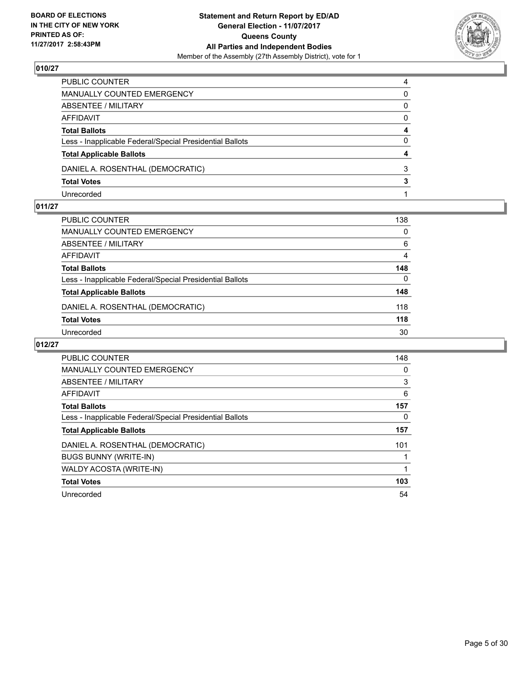

| PUBLIC COUNTER                                           | 4        |
|----------------------------------------------------------|----------|
| <b>MANUALLY COUNTED EMERGENCY</b>                        | 0        |
| ABSENTEE / MILITARY                                      | 0        |
| <b>AFFIDAVIT</b>                                         | $\Omega$ |
| <b>Total Ballots</b>                                     | 4        |
| Less - Inapplicable Federal/Special Presidential Ballots | 0        |
| <b>Total Applicable Ballots</b>                          | 4        |
| DANIEL A. ROSENTHAL (DEMOCRATIC)                         | 3        |
| <b>Total Votes</b>                                       | 3        |
| Unrecorded                                               |          |

#### **011/27**

| PUBLIC COUNTER                                           | 138 |
|----------------------------------------------------------|-----|
| <b>MANUALLY COUNTED EMERGENCY</b>                        | 0   |
| ABSENTEE / MILITARY                                      | 6   |
| AFFIDAVIT                                                | 4   |
| <b>Total Ballots</b>                                     | 148 |
| Less - Inapplicable Federal/Special Presidential Ballots | 0   |
| <b>Total Applicable Ballots</b>                          | 148 |
| DANIEL A. ROSENTHAL (DEMOCRATIC)                         | 118 |
| <b>Total Votes</b>                                       | 118 |
| Unrecorded                                               | 30  |
|                                                          |     |

| <b>PUBLIC COUNTER</b>                                    | 148 |
|----------------------------------------------------------|-----|
| <b>MANUALLY COUNTED EMERGENCY</b>                        | 0   |
| ABSENTEE / MILITARY                                      | 3   |
| <b>AFFIDAVIT</b>                                         | 6   |
| <b>Total Ballots</b>                                     | 157 |
| Less - Inapplicable Federal/Special Presidential Ballots | 0   |
| <b>Total Applicable Ballots</b>                          | 157 |
| DANIEL A. ROSENTHAL (DEMOCRATIC)                         | 101 |
| <b>BUGS BUNNY (WRITE-IN)</b>                             |     |
| WALDY ACOSTA (WRITE-IN)                                  |     |
| <b>Total Votes</b>                                       | 103 |
| Unrecorded                                               | 54  |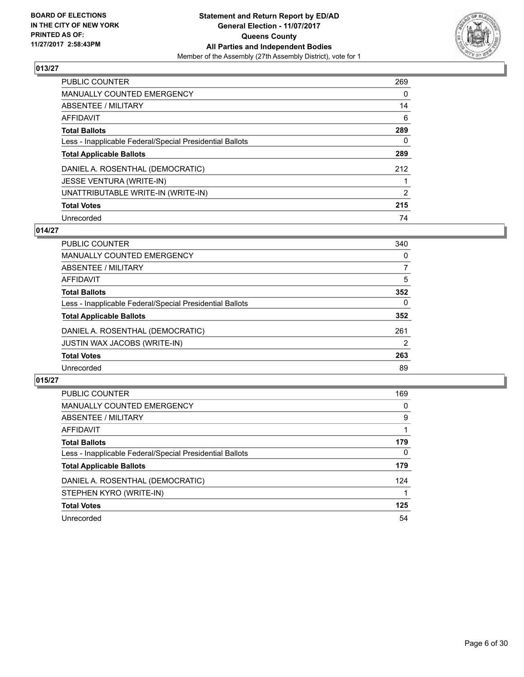

| <b>PUBLIC COUNTER</b>                                    | 269 |
|----------------------------------------------------------|-----|
| <b>MANUALLY COUNTED EMERGENCY</b>                        | 0   |
| ABSENTEE / MILITARY                                      | 14  |
| AFFIDAVIT                                                | 6   |
| <b>Total Ballots</b>                                     | 289 |
| Less - Inapplicable Federal/Special Presidential Ballots | 0   |
| <b>Total Applicable Ballots</b>                          | 289 |
| DANIEL A. ROSENTHAL (DEMOCRATIC)                         | 212 |
| <b>JESSE VENTURA (WRITE-IN)</b>                          |     |
| UNATTRIBUTABLE WRITE-IN (WRITE-IN)                       | 2   |
| <b>Total Votes</b>                                       | 215 |
| Unrecorded                                               | 74  |

## **014/27**

| <b>PUBLIC COUNTER</b>                                    | 340 |
|----------------------------------------------------------|-----|
| <b>MANUALLY COUNTED EMERGENCY</b>                        | 0   |
| ABSENTEE / MILITARY                                      | 7   |
| AFFIDAVIT                                                | 5   |
| <b>Total Ballots</b>                                     | 352 |
| Less - Inapplicable Federal/Special Presidential Ballots | 0   |
| <b>Total Applicable Ballots</b>                          | 352 |
| DANIEL A. ROSENTHAL (DEMOCRATIC)                         | 261 |
| <b>JUSTIN WAX JACOBS (WRITE-IN)</b>                      | 2   |
| <b>Total Votes</b>                                       | 263 |
| Unrecorded                                               | 89  |
|                                                          |     |

| <b>PUBLIC COUNTER</b>                                    | 169      |
|----------------------------------------------------------|----------|
| <b>MANUALLY COUNTED EMERGENCY</b>                        | 0        |
| ABSENTEE / MILITARY                                      | 9        |
| AFFIDAVIT                                                |          |
| <b>Total Ballots</b>                                     | 179      |
| Less - Inapplicable Federal/Special Presidential Ballots | $\Omega$ |
| <b>Total Applicable Ballots</b>                          | 179      |
| DANIEL A. ROSENTHAL (DEMOCRATIC)                         | 124      |
| STEPHEN KYRO (WRITE-IN)                                  |          |
| <b>Total Votes</b>                                       | 125      |
| Unrecorded                                               | 54       |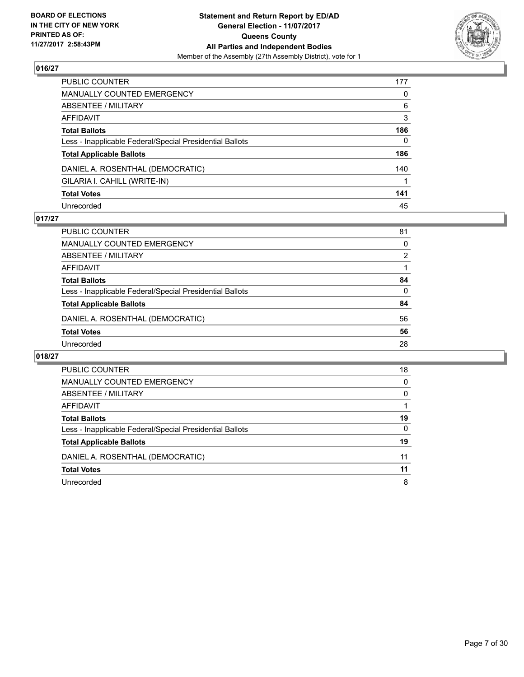

| PUBLIC COUNTER                                           | 177          |
|----------------------------------------------------------|--------------|
| MANUALLY COUNTED EMERGENCY                               | 0            |
| ABSENTEE / MILITARY                                      | 6            |
| AFFIDAVIT                                                | 3            |
| <b>Total Ballots</b>                                     | 186          |
| Less - Inapplicable Federal/Special Presidential Ballots | $\mathbf{0}$ |
| <b>Total Applicable Ballots</b>                          | 186          |
| DANIEL A. ROSENTHAL (DEMOCRATIC)                         | 140          |
| GILARIA I. CAHILL (WRITE-IN)                             |              |
| <b>Total Votes</b>                                       | 141          |
| Unrecorded                                               | 45           |

## **017/27**

| <b>PUBLIC COUNTER</b>                                    | 81 |
|----------------------------------------------------------|----|
| MANUALLY COUNTED EMERGENCY                               | 0  |
| ABSENTEE / MILITARY                                      | 2  |
| AFFIDAVIT                                                |    |
| <b>Total Ballots</b>                                     | 84 |
| Less - Inapplicable Federal/Special Presidential Ballots | 0  |
| <b>Total Applicable Ballots</b>                          | 84 |
| DANIEL A. ROSENTHAL (DEMOCRATIC)                         | 56 |
| <b>Total Votes</b>                                       | 56 |
| Unrecorded                                               | 28 |

| PUBLIC COUNTER                                           | 18       |
|----------------------------------------------------------|----------|
| <b>MANUALLY COUNTED EMERGENCY</b>                        | $\Omega$ |
| ABSENTEE / MILITARY                                      | 0        |
| AFFIDAVIT                                                |          |
| <b>Total Ballots</b>                                     | 19       |
| Less - Inapplicable Federal/Special Presidential Ballots | 0        |
| <b>Total Applicable Ballots</b>                          | 19       |
| DANIEL A. ROSENTHAL (DEMOCRATIC)                         | 11       |
| <b>Total Votes</b>                                       | 11       |
| Unrecorded                                               | 8        |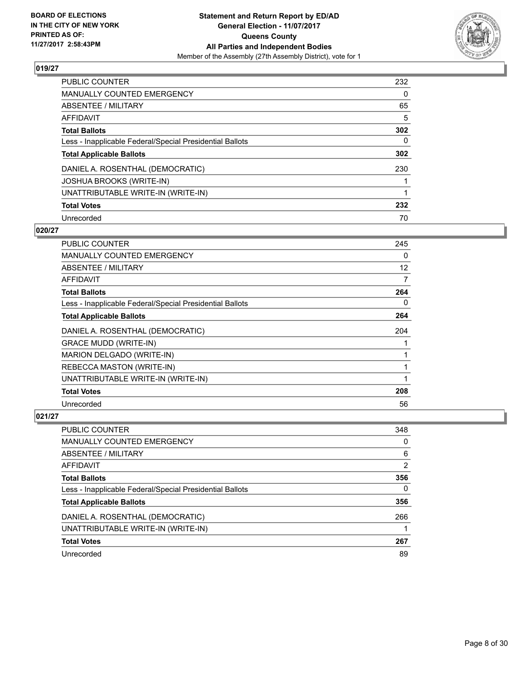

| PUBLIC COUNTER                                           | 232 |
|----------------------------------------------------------|-----|
| <b>MANUALLY COUNTED EMERGENCY</b>                        | 0   |
| ABSENTEE / MILITARY                                      | 65  |
| AFFIDAVIT                                                | 5   |
| <b>Total Ballots</b>                                     | 302 |
| Less - Inapplicable Federal/Special Presidential Ballots | 0   |
| <b>Total Applicable Ballots</b>                          | 302 |
| DANIEL A. ROSENTHAL (DEMOCRATIC)                         | 230 |
| JOSHUA BROOKS (WRITE-IN)                                 |     |
| UNATTRIBUTABLE WRITE-IN (WRITE-IN)                       |     |
| <b>Total Votes</b>                                       | 232 |
| Unrecorded                                               | 70  |

#### **020/27**

| <b>PUBLIC COUNTER</b>                                    | 245 |
|----------------------------------------------------------|-----|
| <b>MANUALLY COUNTED EMERGENCY</b>                        | 0   |
| ABSENTEE / MILITARY                                      | 12  |
| AFFIDAVIT                                                | 7   |
| <b>Total Ballots</b>                                     | 264 |
| Less - Inapplicable Federal/Special Presidential Ballots | 0   |
| <b>Total Applicable Ballots</b>                          | 264 |
| DANIEL A. ROSENTHAL (DEMOCRATIC)                         | 204 |
| <b>GRACE MUDD (WRITE-IN)</b>                             |     |
| MARION DELGADO (WRITE-IN)                                | 1   |
| REBECCA MASTON (WRITE-IN)                                | 1   |
| UNATTRIBUTABLE WRITE-IN (WRITE-IN)                       |     |
| <b>Total Votes</b>                                       | 208 |
| Unrecorded                                               | 56  |

| <b>PUBLIC COUNTER</b>                                    | 348            |
|----------------------------------------------------------|----------------|
| MANUALLY COUNTED EMERGENCY                               | 0              |
| ABSENTEE / MILITARY                                      | 6              |
| AFFIDAVIT                                                | $\overline{2}$ |
| <b>Total Ballots</b>                                     | 356            |
| Less - Inapplicable Federal/Special Presidential Ballots | 0              |
| <b>Total Applicable Ballots</b>                          | 356            |
| DANIEL A. ROSENTHAL (DEMOCRATIC)                         | 266            |
| UNATTRIBUTABLE WRITE-IN (WRITE-IN)                       |                |
| <b>Total Votes</b>                                       | 267            |
| Unrecorded                                               | 89             |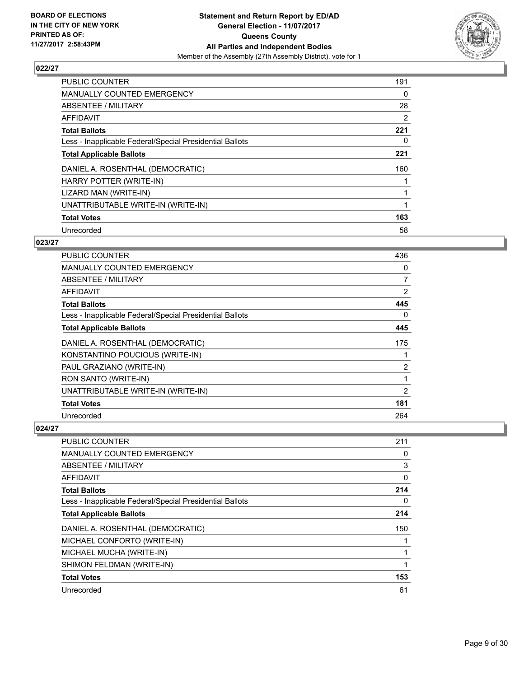

| <b>PUBLIC COUNTER</b>                                    | 191 |
|----------------------------------------------------------|-----|
| MANUALLY COUNTED EMERGENCY                               | 0   |
| ABSENTEE / MILITARY                                      | 28  |
| AFFIDAVIT                                                | 2   |
| <b>Total Ballots</b>                                     | 221 |
| Less - Inapplicable Federal/Special Presidential Ballots | 0   |
| <b>Total Applicable Ballots</b>                          | 221 |
| DANIEL A. ROSENTHAL (DEMOCRATIC)                         | 160 |
| HARRY POTTER (WRITE-IN)                                  |     |
| LIZARD MAN (WRITE-IN)                                    |     |
| UNATTRIBUTABLE WRITE-IN (WRITE-IN)                       |     |
| <b>Total Votes</b>                                       | 163 |
| Unrecorded                                               | 58  |

#### **023/27**

| PUBLIC COUNTER                                           | 436 |
|----------------------------------------------------------|-----|
| <b>MANUALLY COUNTED EMERGENCY</b>                        | 0   |
| ABSENTEE / MILITARY                                      | 7   |
| AFFIDAVIT                                                | 2   |
| <b>Total Ballots</b>                                     | 445 |
| Less - Inapplicable Federal/Special Presidential Ballots | 0   |
| <b>Total Applicable Ballots</b>                          | 445 |
| DANIEL A. ROSENTHAL (DEMOCRATIC)                         | 175 |
| KONSTANTINO POUCIOUS (WRITE-IN)                          |     |
| PAUL GRAZIANO (WRITE-IN)                                 | 2   |
| RON SANTO (WRITE-IN)                                     | 1   |
| UNATTRIBUTABLE WRITE-IN (WRITE-IN)                       | 2   |
| <b>Total Votes</b>                                       | 181 |
| Unrecorded                                               | 264 |

| <b>PUBLIC COUNTER</b>                                    | 211 |
|----------------------------------------------------------|-----|
| <b>MANUALLY COUNTED EMERGENCY</b>                        | 0   |
| ABSENTEE / MILITARY                                      | 3   |
| AFFIDAVIT                                                | 0   |
| <b>Total Ballots</b>                                     | 214 |
| Less - Inapplicable Federal/Special Presidential Ballots | 0   |
| <b>Total Applicable Ballots</b>                          | 214 |
| DANIEL A. ROSENTHAL (DEMOCRATIC)                         | 150 |
| MICHAEL CONFORTO (WRITE-IN)                              |     |
| MICHAEL MUCHA (WRITE-IN)                                 |     |
| SHIMON FELDMAN (WRITE-IN)                                |     |
| <b>Total Votes</b>                                       | 153 |
| Unrecorded                                               | 61  |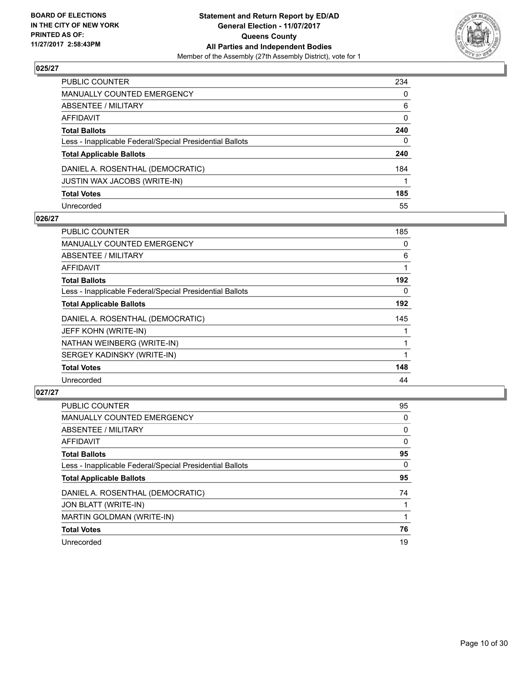

| PUBLIC COUNTER                                           | 234 |
|----------------------------------------------------------|-----|
| MANUALLY COUNTED EMERGENCY                               | 0   |
| <b>ABSENTEE / MILITARY</b>                               | 6   |
| AFFIDAVIT                                                | 0   |
| Total Ballots                                            | 240 |
| Less - Inapplicable Federal/Special Presidential Ballots | 0   |
| <b>Total Applicable Ballots</b>                          | 240 |
| DANIEL A. ROSENTHAL (DEMOCRATIC)                         | 184 |
| JUSTIN WAX JACOBS (WRITE-IN)                             |     |
| <b>Total Votes</b>                                       | 185 |
| Unrecorded                                               | 55  |

#### **026/27**

| PUBLIC COUNTER                                           | 185 |
|----------------------------------------------------------|-----|
| <b>MANUALLY COUNTED EMERGENCY</b>                        | 0   |
| ABSENTEE / MILITARY                                      | 6   |
| AFFIDAVIT                                                |     |
| <b>Total Ballots</b>                                     | 192 |
| Less - Inapplicable Federal/Special Presidential Ballots | 0   |
| <b>Total Applicable Ballots</b>                          | 192 |
| DANIEL A. ROSENTHAL (DEMOCRATIC)                         | 145 |
| JEFF KOHN (WRITE-IN)                                     |     |
| NATHAN WEINBERG (WRITE-IN)                               |     |
| SERGEY KADINSKY (WRITE-IN)                               |     |
| <b>Total Votes</b>                                       | 148 |
| Unrecorded                                               | 44  |

| <b>PUBLIC COUNTER</b>                                    | 95 |
|----------------------------------------------------------|----|
| <b>MANUALLY COUNTED EMERGENCY</b>                        | 0  |
| ABSENTEE / MILITARY                                      | 0  |
| <b>AFFIDAVIT</b>                                         | 0  |
| <b>Total Ballots</b>                                     | 95 |
| Less - Inapplicable Federal/Special Presidential Ballots | 0  |
| <b>Total Applicable Ballots</b>                          | 95 |
| DANIEL A. ROSENTHAL (DEMOCRATIC)                         | 74 |
| JON BLATT (WRITE-IN)                                     |    |
| <b>MARTIN GOLDMAN (WRITE-IN)</b>                         |    |
| <b>Total Votes</b>                                       | 76 |
| Unrecorded                                               | 19 |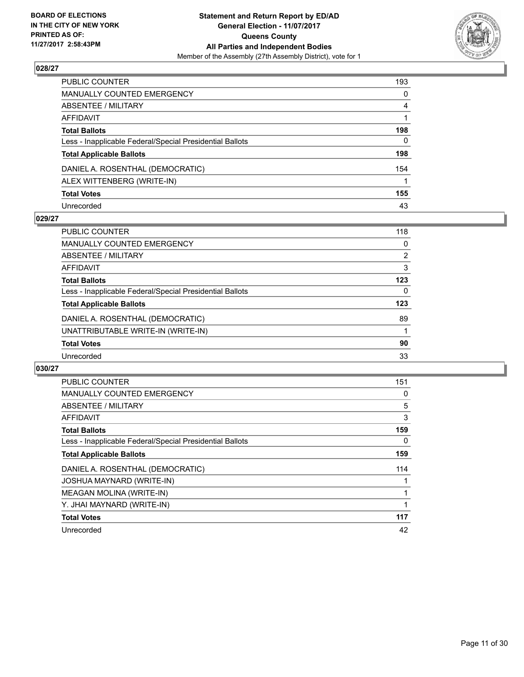

| PUBLIC COUNTER                                           | 193      |
|----------------------------------------------------------|----------|
| <b>MANUALLY COUNTED EMERGENCY</b>                        | 0        |
| ABSENTEE / MILITARY                                      | 4        |
| AFFIDAVIT                                                |          |
| <b>Total Ballots</b>                                     | 198      |
| Less - Inapplicable Federal/Special Presidential Ballots | $\Omega$ |
| <b>Total Applicable Ballots</b>                          | 198      |
| DANIEL A. ROSENTHAL (DEMOCRATIC)                         | 154      |
| ALEX WITTENBERG (WRITE-IN)                               |          |
| <b>Total Votes</b>                                       | 155      |
| Unrecorded                                               | 43       |

## **029/27**

| <b>PUBLIC COUNTER</b>                                    | 118 |
|----------------------------------------------------------|-----|
| MANUALLY COUNTED EMERGENCY                               | 0   |
| ABSENTEE / MILITARY                                      | 2   |
| AFFIDAVIT                                                | 3   |
| <b>Total Ballots</b>                                     | 123 |
| Less - Inapplicable Federal/Special Presidential Ballots | 0   |
| <b>Total Applicable Ballots</b>                          | 123 |
| DANIEL A. ROSENTHAL (DEMOCRATIC)                         | 89  |
| UNATTRIBUTABLE WRITE-IN (WRITE-IN)                       |     |
| <b>Total Votes</b>                                       | 90  |
| Unrecorded                                               | 33  |

| <b>PUBLIC COUNTER</b>                                    | 151 |
|----------------------------------------------------------|-----|
| <b>MANUALLY COUNTED EMERGENCY</b>                        | 0   |
| ABSENTEE / MILITARY                                      | 5   |
| AFFIDAVIT                                                | 3   |
| <b>Total Ballots</b>                                     | 159 |
| Less - Inapplicable Federal/Special Presidential Ballots | 0   |
| <b>Total Applicable Ballots</b>                          | 159 |
| DANIEL A. ROSENTHAL (DEMOCRATIC)                         | 114 |
| JOSHUA MAYNARD (WRITE-IN)                                |     |
| MEAGAN MOLINA (WRITE-IN)                                 |     |
| Y. JHAI MAYNARD (WRITE-IN)                               |     |
| <b>Total Votes</b>                                       | 117 |
| Unrecorded                                               | 42  |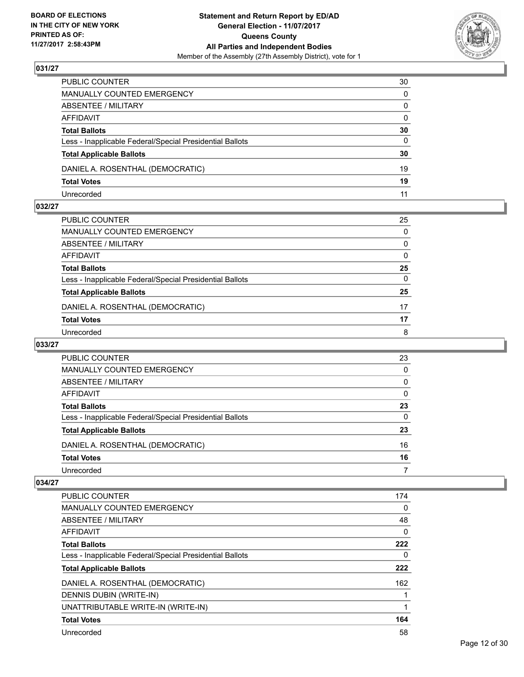

| PUBLIC COUNTER                                           | 30           |
|----------------------------------------------------------|--------------|
| MANUALLY COUNTED EMERGENCY                               | $\mathbf{0}$ |
| ABSENTEE / MILITARY                                      | $\mathbf{0}$ |
| AFFIDAVIT                                                | $\mathbf{0}$ |
| <b>Total Ballots</b>                                     | 30           |
| Less - Inapplicable Federal/Special Presidential Ballots | 0            |
| <b>Total Applicable Ballots</b>                          | 30           |
| DANIEL A. ROSENTHAL (DEMOCRATIC)                         | 19           |
| <b>Total Votes</b>                                       | 19           |
| Unrecorded                                               | 11           |

## **032/27**

| PUBLIC COUNTER                                           | 25           |
|----------------------------------------------------------|--------------|
| MANUALLY COUNTED EMERGENCY                               | $\mathbf{0}$ |
| ABSENTEE / MILITARY                                      | 0            |
| AFFIDAVIT                                                | 0            |
| <b>Total Ballots</b>                                     | 25           |
| Less - Inapplicable Federal/Special Presidential Ballots | $\mathbf{0}$ |
| <b>Total Applicable Ballots</b>                          | 25           |
| DANIEL A. ROSENTHAL (DEMOCRATIC)                         | 17           |
| <b>Total Votes</b>                                       | 17           |
| Unrecorded                                               | 8            |
|                                                          |              |

# **033/27**

| PUBLIC COUNTER                                           | 23 |
|----------------------------------------------------------|----|
| <b>MANUALLY COUNTED EMERGENCY</b>                        | 0  |
| ABSENTEE / MILITARY                                      | 0  |
| AFFIDAVIT                                                | 0  |
| <b>Total Ballots</b>                                     | 23 |
| Less - Inapplicable Federal/Special Presidential Ballots | 0  |
| <b>Total Applicable Ballots</b>                          | 23 |
| DANIEL A. ROSENTHAL (DEMOCRATIC)                         | 16 |
| <b>Total Votes</b>                                       | 16 |
| Unrecorded                                               |    |

| PUBLIC COUNTER                                           | 174 |
|----------------------------------------------------------|-----|
| <b>MANUALLY COUNTED EMERGENCY</b>                        | 0   |
| ABSENTEE / MILITARY                                      | 48  |
| AFFIDAVIT                                                | 0   |
| <b>Total Ballots</b>                                     | 222 |
| Less - Inapplicable Federal/Special Presidential Ballots | 0   |
| <b>Total Applicable Ballots</b>                          | 222 |
| DANIEL A. ROSENTHAL (DEMOCRATIC)                         | 162 |
| DENNIS DUBIN (WRITE-IN)                                  |     |
| UNATTRIBUTABLE WRITE-IN (WRITE-IN)                       |     |
|                                                          |     |
| <b>Total Votes</b>                                       | 164 |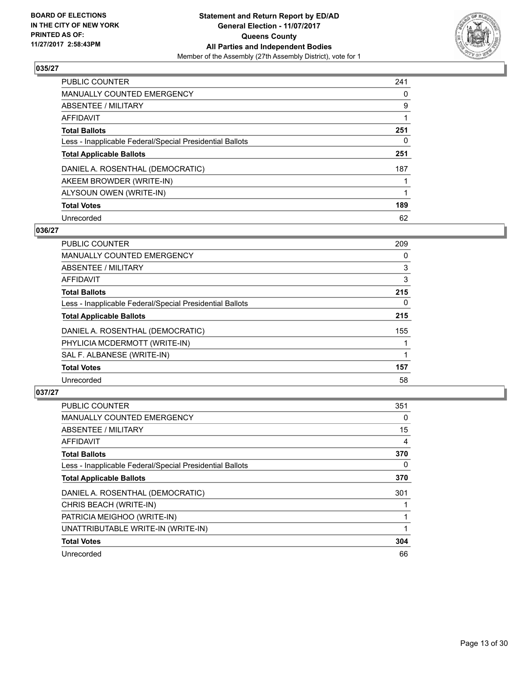

| <b>PUBLIC COUNTER</b>                                    | 241 |
|----------------------------------------------------------|-----|
| MANUALLY COUNTED EMERGENCY                               | 0   |
| <b>ABSENTEE / MILITARY</b>                               | 9   |
| AFFIDAVIT                                                |     |
| <b>Total Ballots</b>                                     | 251 |
| Less - Inapplicable Federal/Special Presidential Ballots | 0   |
| <b>Total Applicable Ballots</b>                          | 251 |
| DANIEL A. ROSENTHAL (DEMOCRATIC)                         | 187 |
| AKEEM BROWDER (WRITE-IN)                                 |     |
| ALYSOUN OWEN (WRITE-IN)                                  |     |
| <b>Total Votes</b>                                       | 189 |
| Unrecorded                                               | 62  |

#### **036/27**

| <b>PUBLIC COUNTER</b>                                    | 209 |
|----------------------------------------------------------|-----|
| <b>MANUALLY COUNTED EMERGENCY</b>                        | 0   |
| ABSENTEE / MILITARY                                      | 3   |
| <b>AFFIDAVIT</b>                                         | 3   |
| <b>Total Ballots</b>                                     | 215 |
| Less - Inapplicable Federal/Special Presidential Ballots | 0   |
| <b>Total Applicable Ballots</b>                          | 215 |
| DANIEL A. ROSENTHAL (DEMOCRATIC)                         | 155 |
| PHYLICIA MCDERMOTT (WRITE-IN)                            |     |
| SAL F. ALBANESE (WRITE-IN)                               |     |
| <b>Total Votes</b>                                       | 157 |
| Unrecorded                                               | 58  |

| PUBLIC COUNTER                                           | 351 |
|----------------------------------------------------------|-----|
| MANUALLY COUNTED EMERGENCY                               | 0   |
| ABSENTEE / MILITARY                                      | 15  |
| AFFIDAVIT                                                | 4   |
| <b>Total Ballots</b>                                     | 370 |
| Less - Inapplicable Federal/Special Presidential Ballots | 0   |
| <b>Total Applicable Ballots</b>                          | 370 |
| DANIEL A. ROSENTHAL (DEMOCRATIC)                         | 301 |
| CHRIS BEACH (WRITE-IN)                                   |     |
| PATRICIA MEIGHOO (WRITE-IN)                              |     |
| UNATTRIBUTABLE WRITE-IN (WRITE-IN)                       |     |
| <b>Total Votes</b>                                       | 304 |
| Unrecorded                                               | 66  |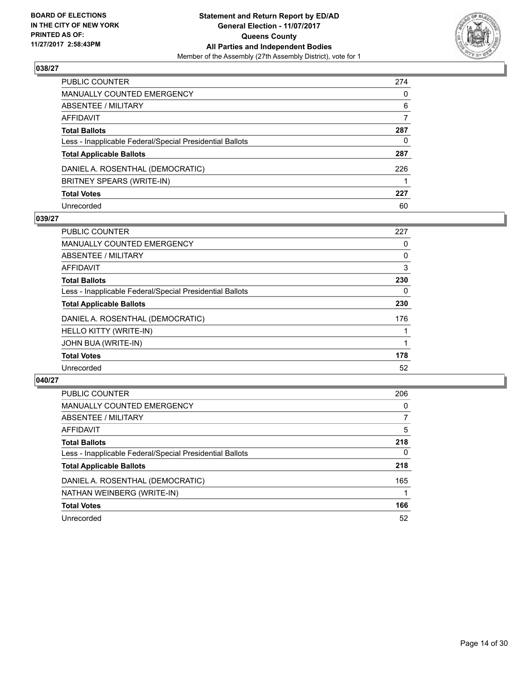

| PUBLIC COUNTER                                           | 274 |
|----------------------------------------------------------|-----|
| MANUALLY COUNTED EMERGENCY                               | 0   |
| ABSENTEE / MILITARY                                      | 6   |
| AFFIDAVIT                                                | 7   |
| Total Ballots                                            | 287 |
| Less - Inapplicable Federal/Special Presidential Ballots | 0   |
| <b>Total Applicable Ballots</b>                          | 287 |
| DANIEL A. ROSENTHAL (DEMOCRATIC)                         | 226 |
| BRITNEY SPEARS (WRITE-IN)                                |     |
| <b>Total Votes</b>                                       | 227 |
| Unrecorded                                               | 60  |

## **039/27**

| <b>PUBLIC COUNTER</b>                                    | 227 |
|----------------------------------------------------------|-----|
| MANUALLY COUNTED EMERGENCY                               | 0   |
| ABSENTEE / MILITARY                                      | 0   |
| <b>AFFIDAVIT</b>                                         | 3   |
| <b>Total Ballots</b>                                     | 230 |
| Less - Inapplicable Federal/Special Presidential Ballots | 0   |
| <b>Total Applicable Ballots</b>                          | 230 |
| DANIEL A. ROSENTHAL (DEMOCRATIC)                         | 176 |
| HELLO KITTY (WRITE-IN)                                   |     |
| JOHN BUA (WRITE-IN)                                      |     |
| <b>Total Votes</b>                                       | 178 |
| Unrecorded                                               | 52  |

| <b>PUBLIC COUNTER</b>                                    | 206 |
|----------------------------------------------------------|-----|
| MANUALLY COUNTED EMERGENCY                               | 0   |
| ABSENTEE / MILITARY                                      | 7   |
| AFFIDAVIT                                                | 5   |
| <b>Total Ballots</b>                                     | 218 |
| Less - Inapplicable Federal/Special Presidential Ballots | 0   |
| <b>Total Applicable Ballots</b>                          | 218 |
| DANIEL A. ROSENTHAL (DEMOCRATIC)                         | 165 |
| NATHAN WEINBERG (WRITE-IN)                               |     |
| <b>Total Votes</b>                                       | 166 |
| Unrecorded                                               | 52  |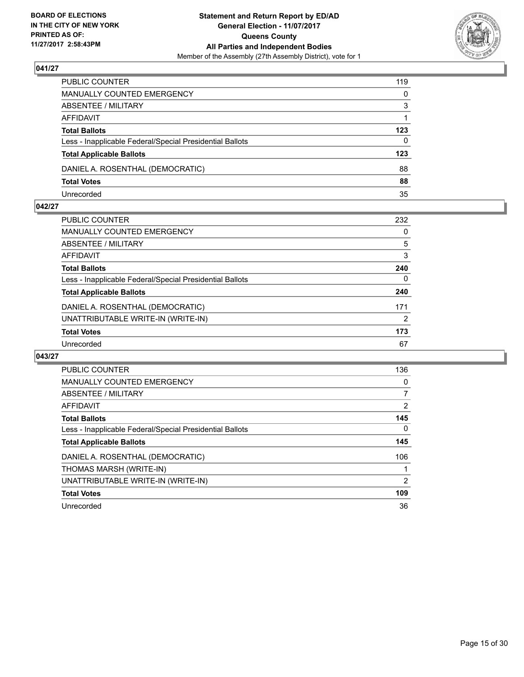

| PUBLIC COUNTER                                           | 119          |
|----------------------------------------------------------|--------------|
| MANUALLY COUNTED EMERGENCY                               | $\mathbf{0}$ |
| ABSENTEE / MILITARY                                      | 3            |
| AFFIDAVIT                                                |              |
| <b>Total Ballots</b>                                     | 123          |
| Less - Inapplicable Federal/Special Presidential Ballots | 0            |
| <b>Total Applicable Ballots</b>                          | 123          |
| DANIEL A. ROSENTHAL (DEMOCRATIC)                         | 88           |
| <b>Total Votes</b>                                       | 88           |
| Unrecorded                                               | 35           |

#### **042/27**

| PUBLIC COUNTER                                           | 232            |
|----------------------------------------------------------|----------------|
| <b>MANUALLY COUNTED EMERGENCY</b>                        | 0              |
| <b>ABSENTEE / MILITARY</b>                               | 5              |
| <b>AFFIDAVIT</b>                                         | 3              |
| <b>Total Ballots</b>                                     | 240            |
| Less - Inapplicable Federal/Special Presidential Ballots | 0              |
| <b>Total Applicable Ballots</b>                          | 240            |
| DANIEL A. ROSENTHAL (DEMOCRATIC)                         | 171            |
| UNATTRIBUTABLE WRITE-IN (WRITE-IN)                       | $\overline{2}$ |
| <b>Total Votes</b>                                       | 173            |
| Unrecorded                                               | 67             |
|                                                          |                |

| <b>PUBLIC COUNTER</b>                                    | 136 |
|----------------------------------------------------------|-----|
| <b>MANUALLY COUNTED EMERGENCY</b>                        | 0   |
| ABSENTEE / MILITARY                                      | 7   |
| AFFIDAVIT                                                | 2   |
| <b>Total Ballots</b>                                     | 145 |
| Less - Inapplicable Federal/Special Presidential Ballots | 0   |
| <b>Total Applicable Ballots</b>                          | 145 |
| DANIEL A. ROSENTHAL (DEMOCRATIC)                         | 106 |
| THOMAS MARSH (WRITE-IN)                                  |     |
| UNATTRIBUTABLE WRITE-IN (WRITE-IN)                       | 2   |
| <b>Total Votes</b>                                       | 109 |
| Unrecorded                                               | 36  |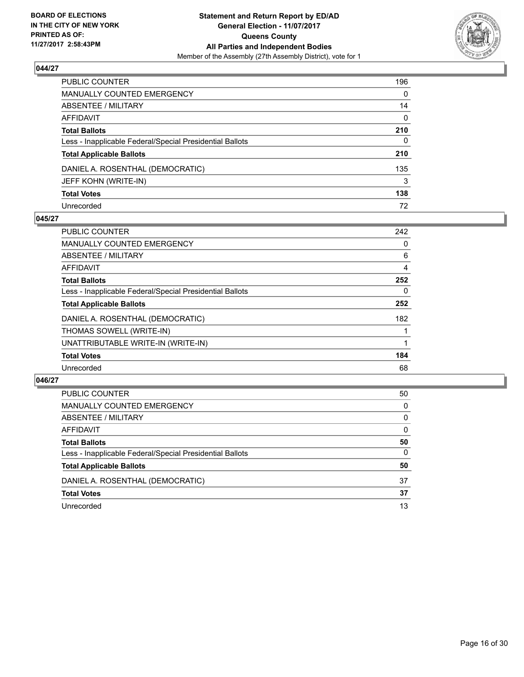

| PUBLIC COUNTER                                           | 196 |
|----------------------------------------------------------|-----|
| MANUALLY COUNTED EMERGENCY                               | 0   |
| ABSENTEE / MILITARY                                      | 14  |
| AFFIDAVIT                                                | 0   |
| <b>Total Ballots</b>                                     | 210 |
| Less - Inapplicable Federal/Special Presidential Ballots | 0   |
| <b>Total Applicable Ballots</b>                          | 210 |
| DANIEL A. ROSENTHAL (DEMOCRATIC)                         | 135 |
| JEFF KOHN (WRITE-IN)                                     | 3   |
| <b>Total Votes</b>                                       | 138 |
| Unrecorded                                               | 72  |

## **045/27**

| <b>PUBLIC COUNTER</b>                                    | 242 |
|----------------------------------------------------------|-----|
| MANUALLY COUNTED EMERGENCY                               | 0   |
| ABSENTEE / MILITARY                                      | 6   |
| <b>AFFIDAVIT</b>                                         | 4   |
| <b>Total Ballots</b>                                     | 252 |
| Less - Inapplicable Federal/Special Presidential Ballots | 0   |
| <b>Total Applicable Ballots</b>                          | 252 |
| DANIEL A. ROSENTHAL (DEMOCRATIC)                         | 182 |
| THOMAS SOWELL (WRITE-IN)                                 |     |
| UNATTRIBUTABLE WRITE-IN (WRITE-IN)                       |     |
| <b>Total Votes</b>                                       | 184 |
| Unrecorded                                               | 68  |

| <b>PUBLIC COUNTER</b>                                    | 50 |
|----------------------------------------------------------|----|
| MANUALLY COUNTED EMERGENCY                               | 0  |
| ABSENTEE / MILITARY                                      | 0  |
| AFFIDAVIT                                                | 0  |
| <b>Total Ballots</b>                                     | 50 |
| Less - Inapplicable Federal/Special Presidential Ballots | 0  |
| <b>Total Applicable Ballots</b>                          | 50 |
| DANIEL A. ROSENTHAL (DEMOCRATIC)                         | 37 |
| <b>Total Votes</b>                                       | 37 |
| Unrecorded                                               | 13 |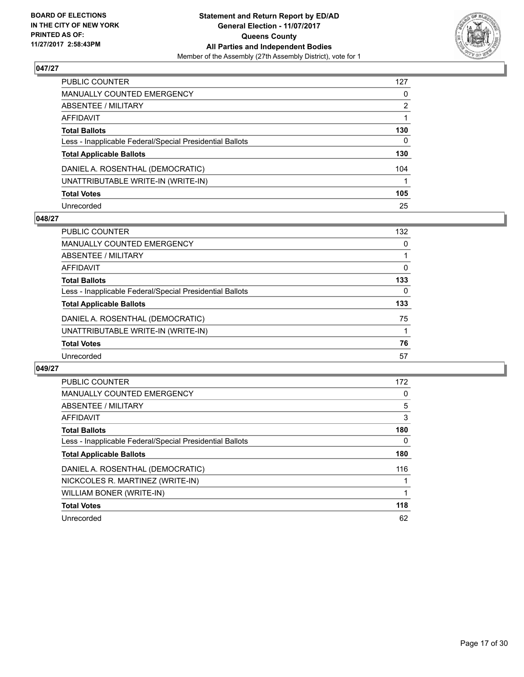

| PUBLIC COUNTER                                           | 127 |
|----------------------------------------------------------|-----|
| <b>MANUALLY COUNTED EMERGENCY</b>                        | 0   |
| ABSENTEE / MILITARY                                      | 2   |
| AFFIDAVIT                                                |     |
| <b>Total Ballots</b>                                     | 130 |
| Less - Inapplicable Federal/Special Presidential Ballots | 0   |
| <b>Total Applicable Ballots</b>                          | 130 |
| DANIEL A. ROSENTHAL (DEMOCRATIC)                         | 104 |
| UNATTRIBUTABLE WRITE-IN (WRITE-IN)                       |     |
| <b>Total Votes</b>                                       | 105 |
| Unrecorded                                               | 25  |

## **048/27**

| <b>PUBLIC COUNTER</b>                                    | 132 |
|----------------------------------------------------------|-----|
| <b>MANUALLY COUNTED EMERGENCY</b>                        | 0   |
| ABSENTEE / MILITARY                                      |     |
| AFFIDAVIT                                                | 0   |
| <b>Total Ballots</b>                                     | 133 |
| Less - Inapplicable Federal/Special Presidential Ballots | 0   |
| <b>Total Applicable Ballots</b>                          | 133 |
| DANIEL A. ROSENTHAL (DEMOCRATIC)                         | 75  |
| UNATTRIBUTABLE WRITE-IN (WRITE-IN)                       |     |
| <b>Total Votes</b>                                       | 76  |
| Unrecorded                                               | 57  |

| <b>PUBLIC COUNTER</b>                                    | 172 |
|----------------------------------------------------------|-----|
| <b>MANUALLY COUNTED EMERGENCY</b>                        | 0   |
| ABSENTEE / MILITARY                                      | 5   |
| <b>AFFIDAVIT</b>                                         | 3   |
| <b>Total Ballots</b>                                     | 180 |
| Less - Inapplicable Federal/Special Presidential Ballots | 0   |
| <b>Total Applicable Ballots</b>                          | 180 |
| DANIEL A. ROSENTHAL (DEMOCRATIC)                         | 116 |
| NICKCOLES R. MARTINEZ (WRITE-IN)                         |     |
| WILLIAM BONER (WRITE-IN)                                 |     |
| <b>Total Votes</b>                                       | 118 |
| Unrecorded                                               | 62  |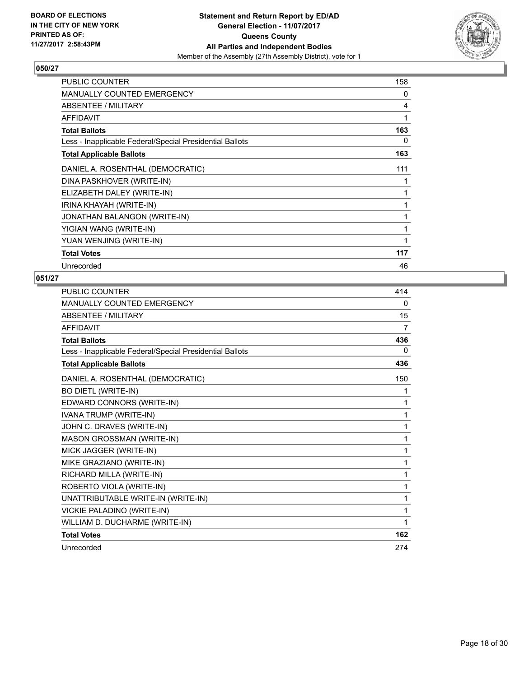

| <b>PUBLIC COUNTER</b>                                    | 158 |
|----------------------------------------------------------|-----|
| <b>MANUALLY COUNTED EMERGENCY</b>                        | 0   |
| ABSENTEE / MILITARY                                      | 4   |
| AFFIDAVIT                                                | 1   |
| <b>Total Ballots</b>                                     | 163 |
| Less - Inapplicable Federal/Special Presidential Ballots | 0   |
| <b>Total Applicable Ballots</b>                          | 163 |
| DANIEL A. ROSENTHAL (DEMOCRATIC)                         | 111 |
| DINA PASKHOVER (WRITE-IN)                                |     |
| ELIZABETH DALEY (WRITE-IN)                               |     |
| IRINA KHAYAH (WRITE-IN)                                  |     |
| JONATHAN BALANGON (WRITE-IN)                             |     |
| YIGIAN WANG (WRITE-IN)                                   |     |
| YUAN WENJING (WRITE-IN)                                  |     |
| <b>Total Votes</b>                                       | 117 |
| Unrecorded                                               | 46  |

| <b>PUBLIC COUNTER</b>                                    | 414 |
|----------------------------------------------------------|-----|
| MANUALLY COUNTED EMERGENCY                               | 0   |
| <b>ABSENTEE / MILITARY</b>                               | 15  |
| <b>AFFIDAVIT</b>                                         | 7   |
| <b>Total Ballots</b>                                     | 436 |
| Less - Inapplicable Federal/Special Presidential Ballots | 0   |
| <b>Total Applicable Ballots</b>                          | 436 |
| DANIEL A. ROSENTHAL (DEMOCRATIC)                         | 150 |
| <b>BO DIETL (WRITE-IN)</b>                               | 1   |
| EDWARD CONNORS (WRITE-IN)                                | 1   |
| IVANA TRUMP (WRITE-IN)                                   | 1   |
| JOHN C. DRAVES (WRITE-IN)                                | 1   |
| MASON GROSSMAN (WRITE-IN)                                | 1   |
| MICK JAGGER (WRITE-IN)                                   | 1   |
| MIKE GRAZIANO (WRITE-IN)                                 | 1   |
| RICHARD MILLA (WRITE-IN)                                 | 1   |
| ROBERTO VIOLA (WRITE-IN)                                 | 1   |
| UNATTRIBUTABLE WRITE-IN (WRITE-IN)                       | 1   |
| VICKIE PALADINO (WRITE-IN)                               | 1   |
| WILLIAM D. DUCHARME (WRITE-IN)                           | 1   |
| <b>Total Votes</b>                                       | 162 |
| Unrecorded                                               | 274 |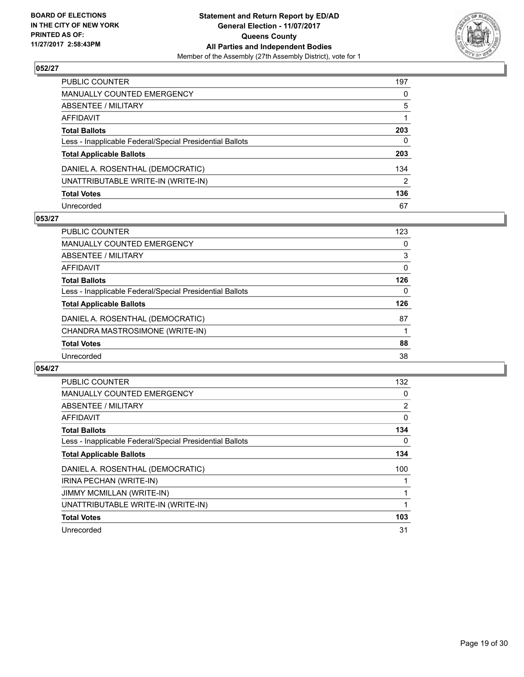

| PUBLIC COUNTER                                           | 197 |
|----------------------------------------------------------|-----|
| MANUALLY COUNTED EMERGENCY                               | 0   |
| ABSENTEE / MILITARY                                      | 5   |
| AFFIDAVIT                                                |     |
| Total Ballots                                            | 203 |
| Less - Inapplicable Federal/Special Presidential Ballots | 0   |
| <b>Total Applicable Ballots</b>                          | 203 |
| DANIEL A. ROSENTHAL (DEMOCRATIC)                         | 134 |
| UNATTRIBUTABLE WRITE-IN (WRITE-IN)                       | 2   |
| <b>Total Votes</b>                                       | 136 |
| Unrecorded                                               | 67  |

## **053/27**

| <b>PUBLIC COUNTER</b>                                    | 123 |
|----------------------------------------------------------|-----|
| <b>MANUALLY COUNTED EMERGENCY</b>                        | 0   |
| ABSENTEE / MILITARY                                      | 3   |
| AFFIDAVIT                                                | 0   |
| <b>Total Ballots</b>                                     | 126 |
| Less - Inapplicable Federal/Special Presidential Ballots | 0   |
| <b>Total Applicable Ballots</b>                          | 126 |
| DANIEL A. ROSENTHAL (DEMOCRATIC)                         | 87  |
| CHANDRA MASTROSIMONE (WRITE-IN)                          |     |
| <b>Total Votes</b>                                       | 88  |
| Unrecorded                                               | 38  |

| <b>PUBLIC COUNTER</b>                                    | 132 |
|----------------------------------------------------------|-----|
| <b>MANUALLY COUNTED EMERGENCY</b>                        | 0   |
| <b>ABSENTEE / MILITARY</b>                               | 2   |
| AFFIDAVIT                                                | 0   |
| <b>Total Ballots</b>                                     | 134 |
| Less - Inapplicable Federal/Special Presidential Ballots | 0   |
| <b>Total Applicable Ballots</b>                          | 134 |
| DANIEL A. ROSENTHAL (DEMOCRATIC)                         | 100 |
| IRINA PECHAN (WRITE-IN)                                  |     |
| <b>JIMMY MCMILLAN (WRITE-IN)</b>                         |     |
| UNATTRIBUTABLE WRITE-IN (WRITE-IN)                       | 1   |
| <b>Total Votes</b>                                       | 103 |
| Unrecorded                                               | 31  |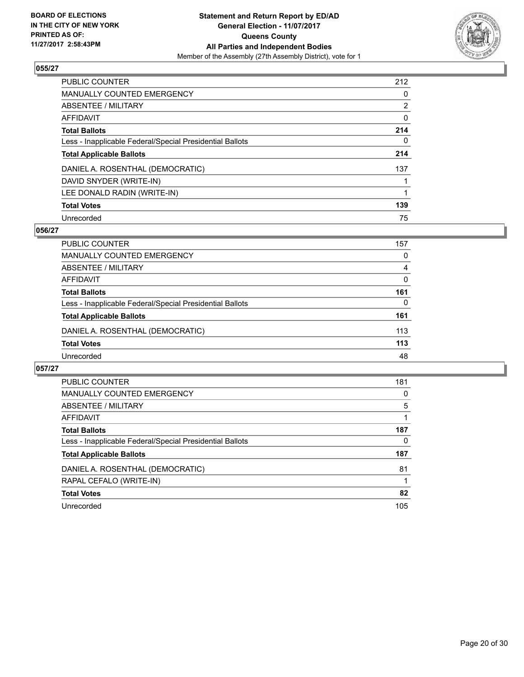

| <b>PUBLIC COUNTER</b>                                    | 212            |
|----------------------------------------------------------|----------------|
| MANUALLY COUNTED EMERGENCY                               | 0              |
| ABSENTEE / MILITARY                                      | $\overline{2}$ |
| AFFIDAVIT                                                | 0              |
| <b>Total Ballots</b>                                     | 214            |
| Less - Inapplicable Federal/Special Presidential Ballots | 0              |
| <b>Total Applicable Ballots</b>                          | 214            |
| DANIEL A. ROSENTHAL (DEMOCRATIC)                         | 137            |
| DAVID SNYDER (WRITE-IN)                                  |                |
| LEE DONALD RADIN (WRITE-IN)                              |                |
| <b>Total Votes</b>                                       | 139            |
| Unrecorded                                               | 75             |

#### **056/27**

| <b>PUBLIC COUNTER</b>                                    | 157 |
|----------------------------------------------------------|-----|
| MANUALLY COUNTED EMERGENCY                               | 0   |
| ABSENTEE / MILITARY                                      | 4   |
| AFFIDAVIT                                                | 0   |
| <b>Total Ballots</b>                                     | 161 |
| Less - Inapplicable Federal/Special Presidential Ballots | 0   |
| <b>Total Applicable Ballots</b>                          | 161 |
| DANIEL A. ROSENTHAL (DEMOCRATIC)                         | 113 |
| <b>Total Votes</b>                                       | 113 |
| Unrecorded                                               | 48  |

| <b>PUBLIC COUNTER</b>                                    | 181 |
|----------------------------------------------------------|-----|
| <b>MANUALLY COUNTED EMERGENCY</b>                        | 0   |
| ABSENTEE / MILITARY                                      | 5   |
| AFFIDAVIT                                                |     |
| <b>Total Ballots</b>                                     | 187 |
| Less - Inapplicable Federal/Special Presidential Ballots | 0   |
| <b>Total Applicable Ballots</b>                          | 187 |
| DANIEL A. ROSENTHAL (DEMOCRATIC)                         | 81  |
| RAPAL CEFALO (WRITE-IN)                                  |     |
| <b>Total Votes</b>                                       | 82  |
| Unrecorded                                               | 105 |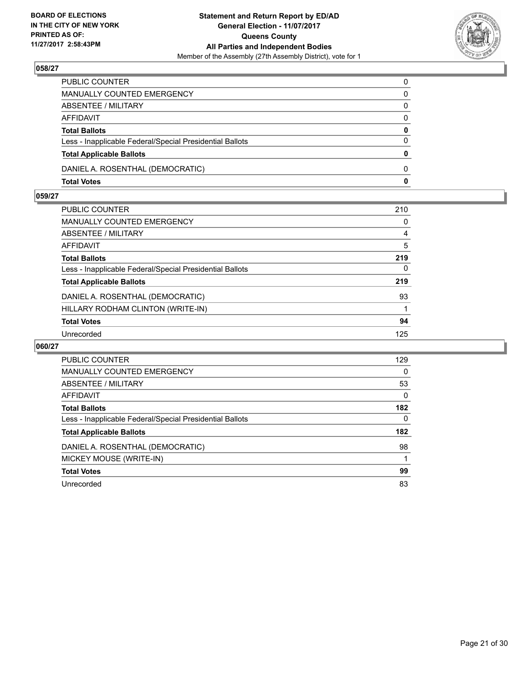

| PUBLIC COUNTER                                           | 0        |
|----------------------------------------------------------|----------|
| MANUALLY COUNTED EMERGENCY                               | 0        |
| ABSENTEE / MILITARY                                      | 0        |
| AFFIDAVIT                                                | $\Omega$ |
| <b>Total Ballots</b>                                     | 0        |
| Less - Inapplicable Federal/Special Presidential Ballots | $\Omega$ |
| <b>Total Applicable Ballots</b>                          | $\bf{0}$ |
| DANIEL A. ROSENTHAL (DEMOCRATIC)                         | $\Omega$ |
| <b>Total Votes</b>                                       | 0        |

## **059/27**

| PUBLIC COUNTER                                           | 210          |
|----------------------------------------------------------|--------------|
| MANUALLY COUNTED EMERGENCY                               | 0            |
| ABSENTEE / MILITARY                                      | 4            |
| AFFIDAVIT                                                | 5            |
| <b>Total Ballots</b>                                     | 219          |
| Less - Inapplicable Federal/Special Presidential Ballots | $\mathbf{0}$ |
| <b>Total Applicable Ballots</b>                          | 219          |
| DANIEL A. ROSENTHAL (DEMOCRATIC)                         | 93           |
| HILLARY RODHAM CLINTON (WRITE-IN)                        |              |
| <b>Total Votes</b>                                       | 94           |
| Unrecorded                                               | 125          |

| PUBLIC COUNTER                                           | 129      |
|----------------------------------------------------------|----------|
| <b>MANUALLY COUNTED EMERGENCY</b>                        | $\Omega$ |
| ABSENTEE / MILITARY                                      | 53       |
| <b>AFFIDAVIT</b>                                         | 0        |
| <b>Total Ballots</b>                                     | 182      |
| Less - Inapplicable Federal/Special Presidential Ballots | $\Omega$ |
| <b>Total Applicable Ballots</b>                          | 182      |
| DANIEL A. ROSENTHAL (DEMOCRATIC)                         | 98       |
| MICKEY MOUSE (WRITE-IN)                                  |          |
| <b>Total Votes</b>                                       | 99       |
| Unrecorded                                               | 83       |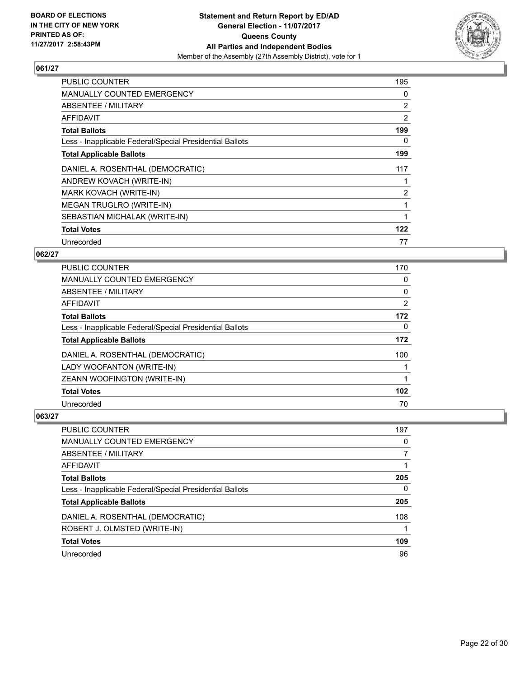

| <b>PUBLIC COUNTER</b>                                    | 195            |
|----------------------------------------------------------|----------------|
| MANUALLY COUNTED EMERGENCY                               | 0              |
| ABSENTEE / MILITARY                                      | 2              |
| AFFIDAVIT                                                | 2              |
| <b>Total Ballots</b>                                     | 199            |
| Less - Inapplicable Federal/Special Presidential Ballots | 0              |
| <b>Total Applicable Ballots</b>                          | 199            |
| DANIEL A. ROSENTHAL (DEMOCRATIC)                         | 117            |
| ANDREW KOVACH (WRITE-IN)                                 |                |
| MARK KOVACH (WRITE-IN)                                   | $\overline{2}$ |
| MEGAN TRUGLRO (WRITE-IN)                                 |                |
| SEBASTIAN MICHALAK (WRITE-IN)                            |                |
| <b>Total Votes</b>                                       | 122            |
| Unrecorded                                               | 77             |

## **062/27**

| PUBLIC COUNTER                                           | 170 |
|----------------------------------------------------------|-----|
| <b>MANUALLY COUNTED EMERGENCY</b>                        | 0   |
| ABSENTEE / MILITARY                                      | 0   |
| AFFIDAVIT                                                | 2   |
| <b>Total Ballots</b>                                     | 172 |
| Less - Inapplicable Federal/Special Presidential Ballots | 0   |
| <b>Total Applicable Ballots</b>                          | 172 |
| DANIEL A. ROSENTHAL (DEMOCRATIC)                         | 100 |
| LADY WOOFANTON (WRITE-IN)                                |     |
| ZEANN WOOFINGTON (WRITE-IN)                              |     |
| <b>Total Votes</b>                                       | 102 |
| Unrecorded                                               | 70  |

| <b>PUBLIC COUNTER</b>                                    | 197 |
|----------------------------------------------------------|-----|
| <b>MANUALLY COUNTED EMERGENCY</b>                        | 0   |
| ABSENTEE / MILITARY                                      |     |
| AFFIDAVIT                                                |     |
| <b>Total Ballots</b>                                     | 205 |
| Less - Inapplicable Federal/Special Presidential Ballots | 0   |
| <b>Total Applicable Ballots</b>                          | 205 |
| DANIEL A. ROSENTHAL (DEMOCRATIC)                         | 108 |
| ROBERT J. OLMSTED (WRITE-IN)                             |     |
| <b>Total Votes</b>                                       | 109 |
| Unrecorded                                               | 96  |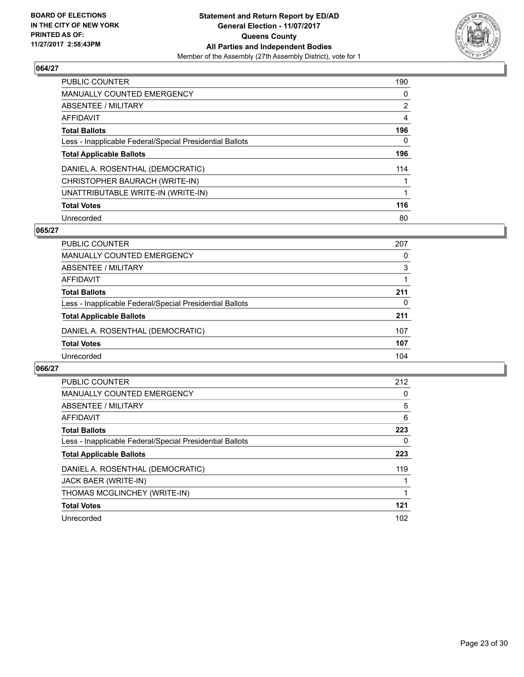

| <b>PUBLIC COUNTER</b>                                    | 190            |
|----------------------------------------------------------|----------------|
| MANUALLY COUNTED EMERGENCY                               | 0              |
| ABSENTEE / MILITARY                                      | $\overline{2}$ |
| AFFIDAVIT                                                | 4              |
| <b>Total Ballots</b>                                     | 196            |
| Less - Inapplicable Federal/Special Presidential Ballots | 0              |
| <b>Total Applicable Ballots</b>                          | 196            |
| DANIEL A. ROSENTHAL (DEMOCRATIC)                         | 114            |
| CHRISTOPHER BAURACH (WRITE-IN)                           |                |
| UNATTRIBUTABLE WRITE-IN (WRITE-IN)                       |                |
| <b>Total Votes</b>                                       | 116            |
| Unrecorded                                               | 80             |

#### **065/27**

| <b>PUBLIC COUNTER</b>                                    | 207 |
|----------------------------------------------------------|-----|
| <b>MANUALLY COUNTED EMERGENCY</b>                        | 0   |
| ABSENTEE / MILITARY                                      | 3   |
| AFFIDAVIT                                                |     |
| <b>Total Ballots</b>                                     | 211 |
| Less - Inapplicable Federal/Special Presidential Ballots | 0   |
| <b>Total Applicable Ballots</b>                          | 211 |
| DANIEL A. ROSENTHAL (DEMOCRATIC)                         | 107 |
| <b>Total Votes</b>                                       | 107 |
| Unrecorded                                               | 104 |

| <b>PUBLIC COUNTER</b>                                    | 212 |
|----------------------------------------------------------|-----|
| <b>MANUALLY COUNTED EMERGENCY</b>                        | 0   |
| ABSENTEE / MILITARY                                      | 5   |
| <b>AFFIDAVIT</b>                                         | 6   |
| <b>Total Ballots</b>                                     | 223 |
| Less - Inapplicable Federal/Special Presidential Ballots | 0   |
| <b>Total Applicable Ballots</b>                          | 223 |
| DANIEL A. ROSENTHAL (DEMOCRATIC)                         | 119 |
| JACK BAER (WRITE-IN)                                     |     |
| THOMAS MCGLINCHEY (WRITE-IN)                             |     |
| <b>Total Votes</b>                                       | 121 |
| Unrecorded                                               | 102 |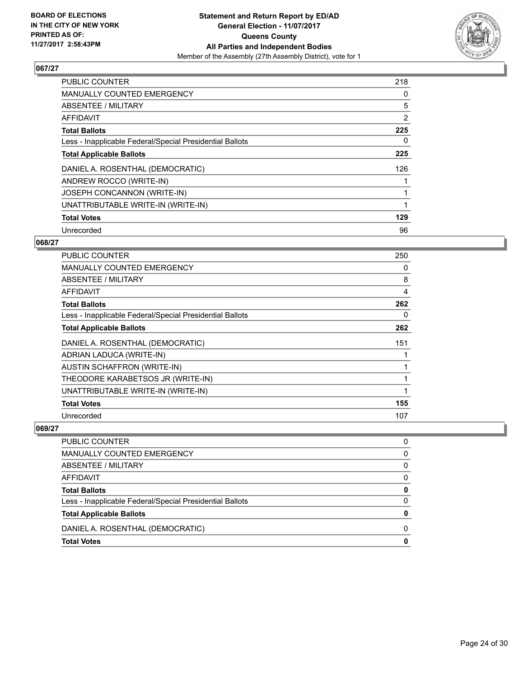

| <b>PUBLIC COUNTER</b>                                    | 218 |
|----------------------------------------------------------|-----|
| <b>MANUALLY COUNTED EMERGENCY</b>                        | 0   |
| ABSENTEE / MILITARY                                      | 5   |
| <b>AFFIDAVIT</b>                                         | 2   |
| <b>Total Ballots</b>                                     | 225 |
| Less - Inapplicable Federal/Special Presidential Ballots | 0   |
| <b>Total Applicable Ballots</b>                          | 225 |
| DANIEL A. ROSENTHAL (DEMOCRATIC)                         | 126 |
| ANDREW ROCCO (WRITE-IN)                                  |     |
| <b>JOSEPH CONCANNON (WRITE-IN)</b>                       |     |
| UNATTRIBUTABLE WRITE-IN (WRITE-IN)                       |     |
| <b>Total Votes</b>                                       | 129 |
| Unrecorded                                               | 96  |

#### **068/27**

| <b>PUBLIC COUNTER</b>                                    | 250 |
|----------------------------------------------------------|-----|
| <b>MANUALLY COUNTED EMERGENCY</b>                        | 0   |
| ABSENTEE / MILITARY                                      | 8   |
| AFFIDAVIT                                                | 4   |
| <b>Total Ballots</b>                                     | 262 |
| Less - Inapplicable Federal/Special Presidential Ballots | 0   |
| <b>Total Applicable Ballots</b>                          | 262 |
| DANIEL A. ROSENTHAL (DEMOCRATIC)                         | 151 |
| ADRIAN LADUCA (WRITE-IN)                                 |     |
| <b>AUSTIN SCHAFFRON (WRITE-IN)</b>                       | 1   |
| THEODORE KARABETSOS JR (WRITE-IN)                        | 1   |
| UNATTRIBUTABLE WRITE-IN (WRITE-IN)                       | 1   |
| <b>Total Votes</b>                                       | 155 |
| Unrecorded                                               | 107 |

| PUBLIC COUNTER                                           | 0 |
|----------------------------------------------------------|---|
| MANUALLY COUNTED EMERGENCY                               | 0 |
| ABSENTEE / MILITARY                                      | 0 |
| AFFIDAVIT                                                | 0 |
| <b>Total Ballots</b>                                     | 0 |
| Less - Inapplicable Federal/Special Presidential Ballots | 0 |
| <b>Total Applicable Ballots</b>                          | 0 |
| DANIEL A. ROSENTHAL (DEMOCRATIC)                         | 0 |
| <b>Total Votes</b>                                       | 0 |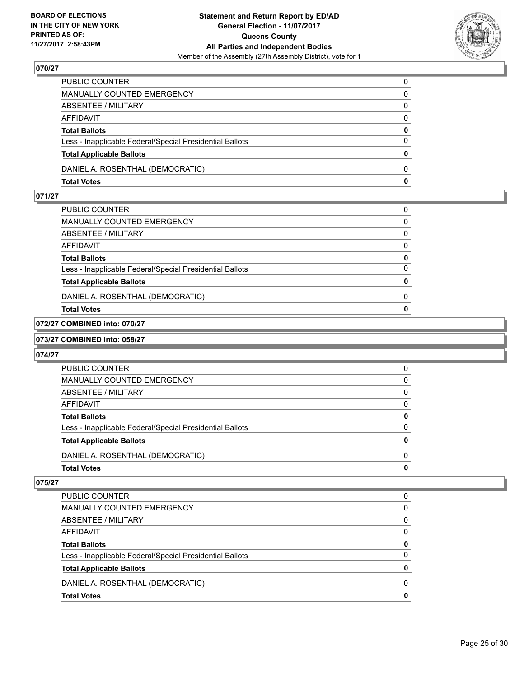

| PUBLIC COUNTER                                           | 0            |
|----------------------------------------------------------|--------------|
| MANUALLY COUNTED EMERGENCY                               | 0            |
| ABSENTEE / MILITARY                                      | $\mathbf{0}$ |
| AFFIDAVIT                                                | $\Omega$     |
| <b>Total Ballots</b>                                     | 0            |
| Less - Inapplicable Federal/Special Presidential Ballots | $\Omega$     |
| <b>Total Applicable Ballots</b>                          | $\mathbf{0}$ |
| DANIEL A. ROSENTHAL (DEMOCRATIC)                         | $\Omega$     |
| <b>Total Votes</b>                                       | $\mathbf{0}$ |

## **071/27**

| MANUALLY COUNTED EMERGENCY                               | 0 |
|----------------------------------------------------------|---|
| ABSENTEE / MILITARY                                      | 0 |
| AFFIDAVIT                                                | 0 |
| <b>Total Ballots</b>                                     | 0 |
| Less - Inapplicable Federal/Special Presidential Ballots | 0 |
| <b>Total Applicable Ballots</b>                          | O |
| DANIEL A. ROSENTHAL (DEMOCRATIC)                         | 0 |
| Total Votes                                              | o |

# **072/27 COMBINED into: 070/27**

#### **073/27 COMBINED into: 058/27**

#### **074/27**

| <b>Total Votes</b>                                       | 0        |
|----------------------------------------------------------|----------|
| DANIEL A. ROSENTHAL (DEMOCRATIC)                         | 0        |
| <b>Total Applicable Ballots</b>                          | 0        |
| Less - Inapplicable Federal/Special Presidential Ballots | $\Omega$ |
| <b>Total Ballots</b>                                     | 0        |
| <b>AFFIDAVIT</b>                                         | 0        |
| ABSENTEE / MILITARY                                      | 0        |
| <b>MANUALLY COUNTED EMERGENCY</b>                        | 0        |
| PUBLIC COUNTER                                           | 0        |

| PUBLIC COUNTER                                           | 0 |
|----------------------------------------------------------|---|
| <b>MANUALLY COUNTED EMERGENCY</b>                        | 0 |
| ABSENTEE / MILITARY                                      | 0 |
| AFFIDAVIT                                                | 0 |
| <b>Total Ballots</b>                                     | 0 |
| Less - Inapplicable Federal/Special Presidential Ballots | 0 |
| <b>Total Applicable Ballots</b>                          | 0 |
| DANIEL A. ROSENTHAL (DEMOCRATIC)                         | n |
| <b>Total Votes</b>                                       | 0 |
|                                                          |   |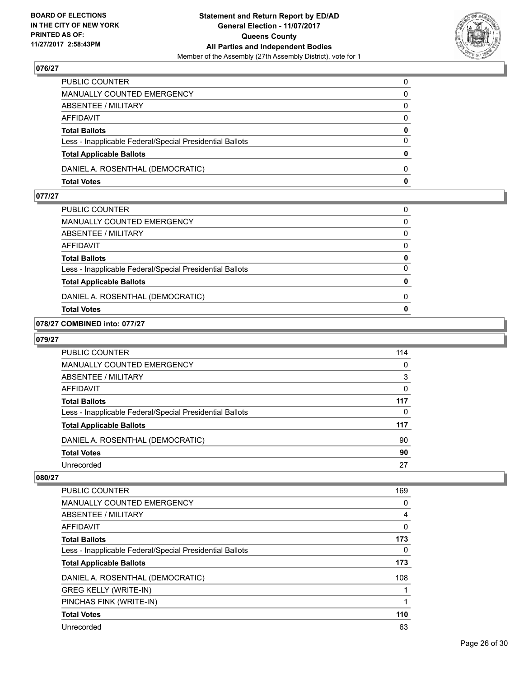

| PUBLIC COUNTER                                           | 0        |
|----------------------------------------------------------|----------|
| MANUALLY COUNTED EMERGENCY                               | 0        |
| ABSENTEE / MILITARY                                      | 0        |
| AFFIDAVIT                                                | $\Omega$ |
| <b>Total Ballots</b>                                     | 0        |
| Less - Inapplicable Federal/Special Presidential Ballots | $\Omega$ |
| <b>Total Applicable Ballots</b>                          | $\bf{0}$ |
| DANIEL A. ROSENTHAL (DEMOCRATIC)                         | $\Omega$ |
| <b>Total Votes</b>                                       | 0        |

## **077/27**

| <b>Total Votes</b>                                       | $\mathbf{0}$ |
|----------------------------------------------------------|--------------|
| DANIEL A. ROSENTHAL (DEMOCRATIC)                         | 0            |
| <b>Total Applicable Ballots</b>                          | $\mathbf{0}$ |
| Less - Inapplicable Federal/Special Presidential Ballots | $\Omega$     |
| <b>Total Ballots</b>                                     | $\mathbf{0}$ |
| AFFIDAVIT                                                | 0            |
| <b>ABSENTEE / MILITARY</b>                               | 0            |
| MANUALLY COUNTED EMERGENCY                               | $\Omega$     |
| PUBLIC COUNTER                                           | 0            |

## **078/27 COMBINED into: 077/27**

#### **079/27**

| PUBLIC COUNTER                                           | 114 |
|----------------------------------------------------------|-----|
| <b>MANUALLY COUNTED EMERGENCY</b>                        | 0   |
| ABSENTEE / MILITARY                                      | 3   |
| AFFIDAVIT                                                | 0   |
| <b>Total Ballots</b>                                     | 117 |
| Less - Inapplicable Federal/Special Presidential Ballots | 0   |
| <b>Total Applicable Ballots</b>                          | 117 |
| DANIEL A. ROSENTHAL (DEMOCRATIC)                         | 90  |
| <b>Total Votes</b>                                       | 90  |
| Unrecorded                                               | 27  |

| <b>PUBLIC COUNTER</b>                                    | 169 |
|----------------------------------------------------------|-----|
| <b>MANUALLY COUNTED EMERGENCY</b>                        | 0   |
| ABSENTEE / MILITARY                                      | 4   |
| <b>AFFIDAVIT</b>                                         | 0   |
| <b>Total Ballots</b>                                     | 173 |
| Less - Inapplicable Federal/Special Presidential Ballots | 0   |
| <b>Total Applicable Ballots</b>                          | 173 |
| DANIEL A. ROSENTHAL (DEMOCRATIC)                         | 108 |
| <b>GREG KELLY (WRITE-IN)</b>                             |     |
| PINCHAS FINK (WRITE-IN)                                  |     |
| <b>Total Votes</b>                                       | 110 |
| Unrecorded                                               | 63  |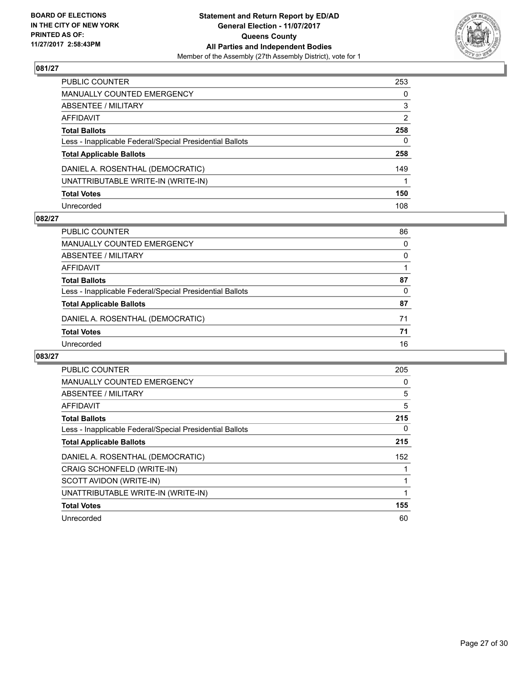

| PUBLIC COUNTER                                           | 253 |
|----------------------------------------------------------|-----|
| MANUALLY COUNTED EMERGENCY                               | 0   |
| <b>ABSENTEE / MILITARY</b>                               | 3   |
| AFFIDAVIT                                                | 2   |
| Total Ballots                                            | 258 |
| Less - Inapplicable Federal/Special Presidential Ballots | 0   |
| <b>Total Applicable Ballots</b>                          | 258 |
| DANIEL A. ROSENTHAL (DEMOCRATIC)                         | 149 |
| UNATTRIBUTABLE WRITE-IN (WRITE-IN)                       |     |
| <b>Total Votes</b>                                       | 150 |
| Unrecorded                                               | 108 |

#### **082/27**

| <b>PUBLIC COUNTER</b>                                    | 86 |
|----------------------------------------------------------|----|
| MANUALLY COUNTED EMERGENCY                               | 0  |
| ABSENTEE / MILITARY                                      | 0  |
| AFFIDAVIT                                                |    |
| <b>Total Ballots</b>                                     | 87 |
| Less - Inapplicable Federal/Special Presidential Ballots | 0  |
| <b>Total Applicable Ballots</b>                          | 87 |
| DANIEL A. ROSENTHAL (DEMOCRATIC)                         | 71 |
| <b>Total Votes</b>                                       | 71 |
| Unrecorded                                               | 16 |

| PUBLIC COUNTER                                           | 205 |
|----------------------------------------------------------|-----|
| <b>MANUALLY COUNTED EMERGENCY</b>                        | 0   |
| ABSENTEE / MILITARY                                      | 5   |
| <b>AFFIDAVIT</b>                                         | 5   |
| <b>Total Ballots</b>                                     | 215 |
| Less - Inapplicable Federal/Special Presidential Ballots | 0   |
| <b>Total Applicable Ballots</b>                          | 215 |
| DANIEL A. ROSENTHAL (DEMOCRATIC)                         | 152 |
| CRAIG SCHONFELD (WRITE-IN)                               |     |
| SCOTT AVIDON (WRITE-IN)                                  |     |
| UNATTRIBUTABLE WRITE-IN (WRITE-IN)                       |     |
| <b>Total Votes</b>                                       | 155 |
| Unrecorded                                               | 60  |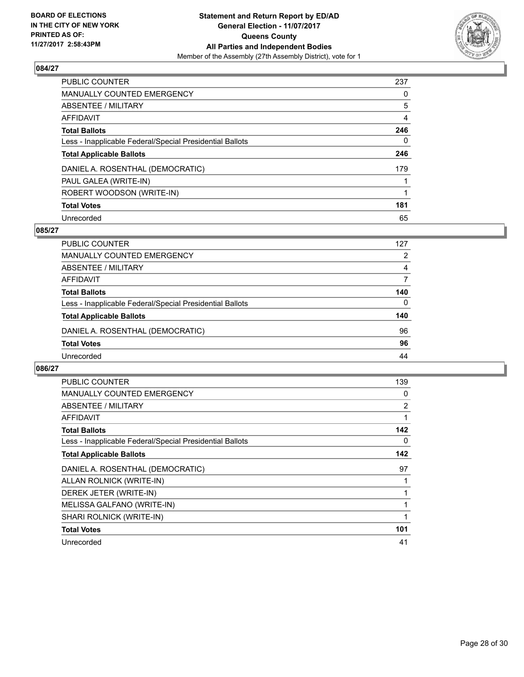

| PUBLIC COUNTER                                           | 237 |
|----------------------------------------------------------|-----|
| <b>MANUALLY COUNTED EMERGENCY</b>                        | 0   |
| ABSENTEE / MILITARY                                      | 5   |
| AFFIDAVIT                                                | 4   |
| <b>Total Ballots</b>                                     | 246 |
| Less - Inapplicable Federal/Special Presidential Ballots | 0   |
| <b>Total Applicable Ballots</b>                          | 246 |
| DANIEL A. ROSENTHAL (DEMOCRATIC)                         | 179 |
| PAUL GALEA (WRITE-IN)                                    |     |
| ROBERT WOODSON (WRITE-IN)                                |     |
| <b>Total Votes</b>                                       | 181 |
| Unrecorded                                               | 65  |

#### **085/27**

| <b>PUBLIC COUNTER</b>                                    | 127 |
|----------------------------------------------------------|-----|
| <b>MANUALLY COUNTED EMERGENCY</b>                        | 2   |
| ABSENTEE / MILITARY                                      | 4   |
| AFFIDAVIT                                                | 7   |
| <b>Total Ballots</b>                                     | 140 |
| Less - Inapplicable Federal/Special Presidential Ballots | 0   |
| <b>Total Applicable Ballots</b>                          | 140 |
| DANIEL A. ROSENTHAL (DEMOCRATIC)                         | 96  |
| <b>Total Votes</b>                                       | 96  |
| Unrecorded                                               | 44  |

| <b>PUBLIC COUNTER</b>                                    | 139 |
|----------------------------------------------------------|-----|
| <b>MANUALLY COUNTED EMERGENCY</b>                        | 0   |
| ABSENTEE / MILITARY                                      | 2   |
| <b>AFFIDAVIT</b>                                         | 1   |
| <b>Total Ballots</b>                                     | 142 |
| Less - Inapplicable Federal/Special Presidential Ballots | 0   |
| <b>Total Applicable Ballots</b>                          | 142 |
|                                                          |     |
| DANIEL A. ROSENTHAL (DEMOCRATIC)                         | 97  |
| ALLAN ROLNICK (WRITE-IN)                                 |     |
| DEREK JETER (WRITE-IN)                                   |     |
| MELISSA GALFANO (WRITE-IN)                               | 1   |
| SHARI ROLNICK (WRITE-IN)                                 | 1   |
| <b>Total Votes</b>                                       | 101 |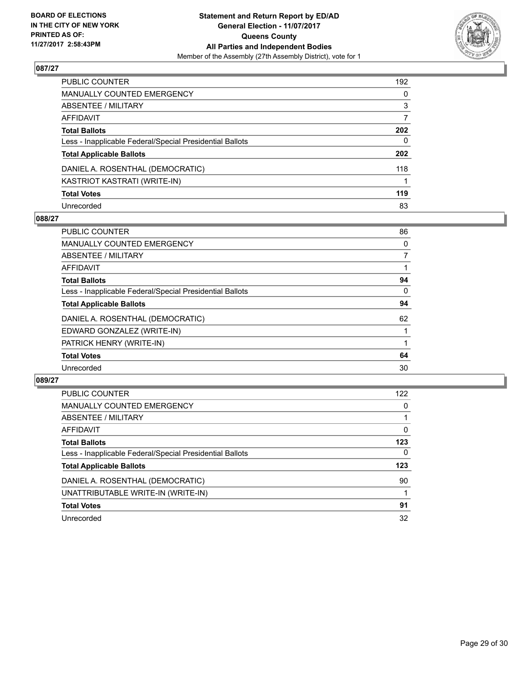

| PUBLIC COUNTER                                           | 192          |
|----------------------------------------------------------|--------------|
| MANUALLY COUNTED EMERGENCY                               | 0            |
| ABSENTEE / MILITARY                                      | 3            |
| AFFIDAVIT                                                | 7            |
| Total Ballots                                            | 202          |
| Less - Inapplicable Federal/Special Presidential Ballots | $\mathbf{0}$ |
| <b>Total Applicable Ballots</b>                          | 202          |
| DANIEL A. ROSENTHAL (DEMOCRATIC)                         | 118          |
| KASTRIOT KASTRATI (WRITE-IN)                             |              |
| <b>Total Votes</b>                                       | 119          |
| Unrecorded                                               | 83           |

#### **088/27**

| <b>PUBLIC COUNTER</b>                                    | 86 |
|----------------------------------------------------------|----|
| <b>MANUALLY COUNTED EMERGENCY</b>                        | 0  |
| ABSENTEE / MILITARY                                      | 7  |
| <b>AFFIDAVIT</b>                                         |    |
| <b>Total Ballots</b>                                     | 94 |
| Less - Inapplicable Federal/Special Presidential Ballots | 0  |
| <b>Total Applicable Ballots</b>                          | 94 |
| DANIEL A. ROSENTHAL (DEMOCRATIC)                         | 62 |
| EDWARD GONZALEZ (WRITE-IN)                               |    |
| PATRICK HENRY (WRITE-IN)                                 |    |
| <b>Total Votes</b>                                       | 64 |
| Unrecorded                                               | 30 |

| <b>PUBLIC COUNTER</b>                                    | 122 |
|----------------------------------------------------------|-----|
| <b>MANUALLY COUNTED EMERGENCY</b>                        | 0   |
| ABSENTEE / MILITARY                                      |     |
| AFFIDAVIT                                                | 0   |
| <b>Total Ballots</b>                                     | 123 |
| Less - Inapplicable Federal/Special Presidential Ballots | 0   |
| <b>Total Applicable Ballots</b>                          | 123 |
| DANIEL A. ROSENTHAL (DEMOCRATIC)                         | 90  |
| UNATTRIBUTABLE WRITE-IN (WRITE-IN)                       |     |
| <b>Total Votes</b>                                       | 91  |
| Unrecorded                                               | 32  |